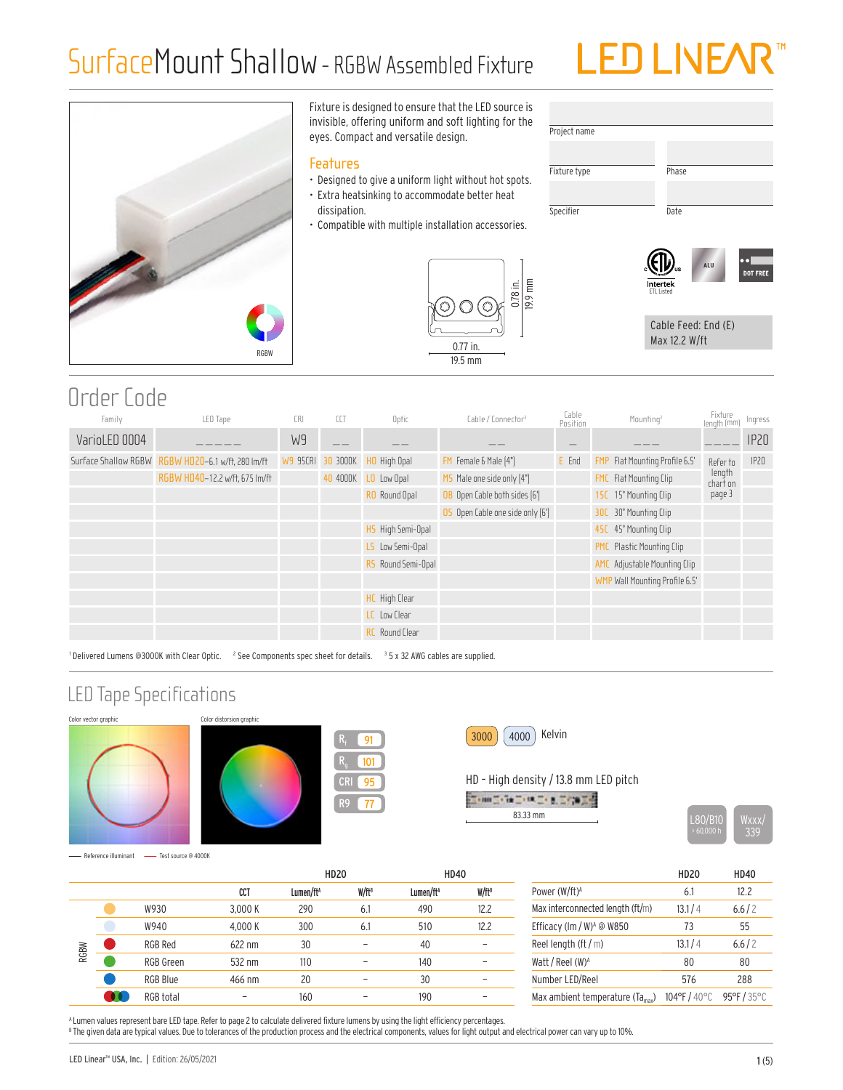## SurfaceMount Shallow- RGBW Assembled Fixture





Fixture is designed to ensure that the LED source is invisible, offering uniform and soft lighting for the eyes. Compact and versatile design.

#### **Features**

- Designed to give a uniform light without hot spots.
- Extra heatsinking to accommodate better heat dissipation.
- Compatible with multiple installation accessories.



| Phase |
|-------|
|       |
| Date  |
|       |
|       |



Cable Feed: End (E) Max 12.2 W/ft

### Order Code

| Family        | LED Tape                                           | <b>CRI</b> | CCT               | Optic                 | Cable / Connector <sup>3</sup>   | Cable<br>Position | Mounting <sup>2</sup>                 | Fixture<br>Iength (mm)         | Ingress |
|---------------|----------------------------------------------------|------------|-------------------|-----------------------|----------------------------------|-------------------|---------------------------------------|--------------------------------|---------|
| VarioLED 0004 |                                                    | W9         |                   |                       |                                  |                   |                                       |                                | IPZO    |
|               | Surface Shallow RGBW RGBW HD20-6.1 w/ft, 280 lm/ft |            | W9 95CRI 30 3000K | HO High Opal          | FM Female & Male [4"]            | E End             | <b>FMP</b> Flat Mounting Profile 6.5' | Refer to                       | IP20    |
|               | RGBW HD40-12.2 w/ft, 675 lm/ft                     |            |                   | 40 4000K LO Low Opal  | MS Male one side only [4"]       |                   | FMC Flat Mounting Clip                | length<br>char <del>i</del> on |         |
|               |                                                    |            |                   | RO Round Opal         | OB Open Cable both sides [6']    |                   | 15C 15° Mounting Clip                 | page 3                         |         |
|               |                                                    |            |                   |                       | 05 Open Cable one side only [6'] |                   | 30C 30° Mounting Clip                 |                                |         |
|               |                                                    |            |                   | HS High Semi-Opal     |                                  |                   | 45C 45° Mounting Clip                 |                                |         |
|               |                                                    |            |                   | LS Low Semi-Opal      |                                  |                   | <b>PMC</b> Plastic Mounting Clip      |                                |         |
|               |                                                    |            |                   | RS Round Semi-Opal    |                                  |                   | AMC Adjustable Mounting Clip          |                                |         |
|               |                                                    |            |                   |                       |                                  |                   | WMP Wall Mounting Profile 6.5'        |                                |         |
|               |                                                    |            |                   | HC High Clear         |                                  |                   |                                       |                                |         |
|               |                                                    |            |                   | LC Low Clear          |                                  |                   |                                       |                                |         |
|               |                                                    |            |                   | <b>RC</b> Round Clear |                                  |                   |                                       |                                |         |

<sup>1</sup> Delivered Lumens @3000K with Clear Optic. <sup>2</sup> See Components spec sheet for details. <sup>3</sup> 5 x 32 AWG cables are supplied.

### LED Tape Specifications







95 77

91 101



#### HD – High density / 13.8 mm LED pitch

|  |  | 83.33 mm |  |  |  |
|--|--|----------|--|--|--|

L80/B10

Reference illuminant - Test source @ 4000K

|             |      |                |         | <b>HD20</b>           |                   | <b>HD40</b>           |                   |
|-------------|------|----------------|---------|-----------------------|-------------------|-----------------------|-------------------|
|             |      |                | CCT     | Lumen/ft <sup>A</sup> | W/ft <sup>B</sup> | Lumen/ft <sup>A</sup> | W/ft <sup>B</sup> |
|             |      | W930           | 3,000 K | 290                   | 6.1               | 490                   | 12.2              |
| <b>RGBW</b> | W940 | 4,000 K        | 300     | 6.1                   | 510               | 12.2                  |                   |
|             |      | <b>RGB Red</b> | 622 nm  | 30                    |                   | 40                    |                   |
|             |      | RGB Green      | 532 nm  | 110                   | -                 | 140                   | -                 |
|             |      | RGB Blue       | 466 nm  | 20                    |                   | 30                    |                   |
|             |      | RGB total      |         | 160                   |                   | 190                   |                   |

|                                                     | <b>HD20</b>  | <b>HD40</b>     |
|-----------------------------------------------------|--------------|-----------------|
| Power (W/ft) <sup>A</sup>                           | 6.1          | 12 <sub>2</sub> |
| Max interconnected length (ft/m)                    | 13.1/4       | 6.6/2           |
| Efficacy (lm / W) <sup>A</sup> @ W850               | 73           | 55              |
| Reel length (ft $/m$ )                              | 13.1/4       | 6.6/2           |
| Watt / Reel (W) <sup>A</sup>                        | 80           | 80              |
| Number LED/Reel                                     | 576          | 288             |
| Max ambient temperature $(T_{\alpha_{\text{max}}})$ | 104°F / 40°C | 95°F / 35°C     |

A Lumen values represent bare LED tape. Refer to page 2 to calculate delivered fixture lumens by using the light efficiency percentages. <sup>8</sup> The given data are typical values. Due to tolerances of the production process and the electrical components, values for light output and electrical power can vary up to 10%.

LED Linear™ USA, Inc. | Edition: 26/05/2021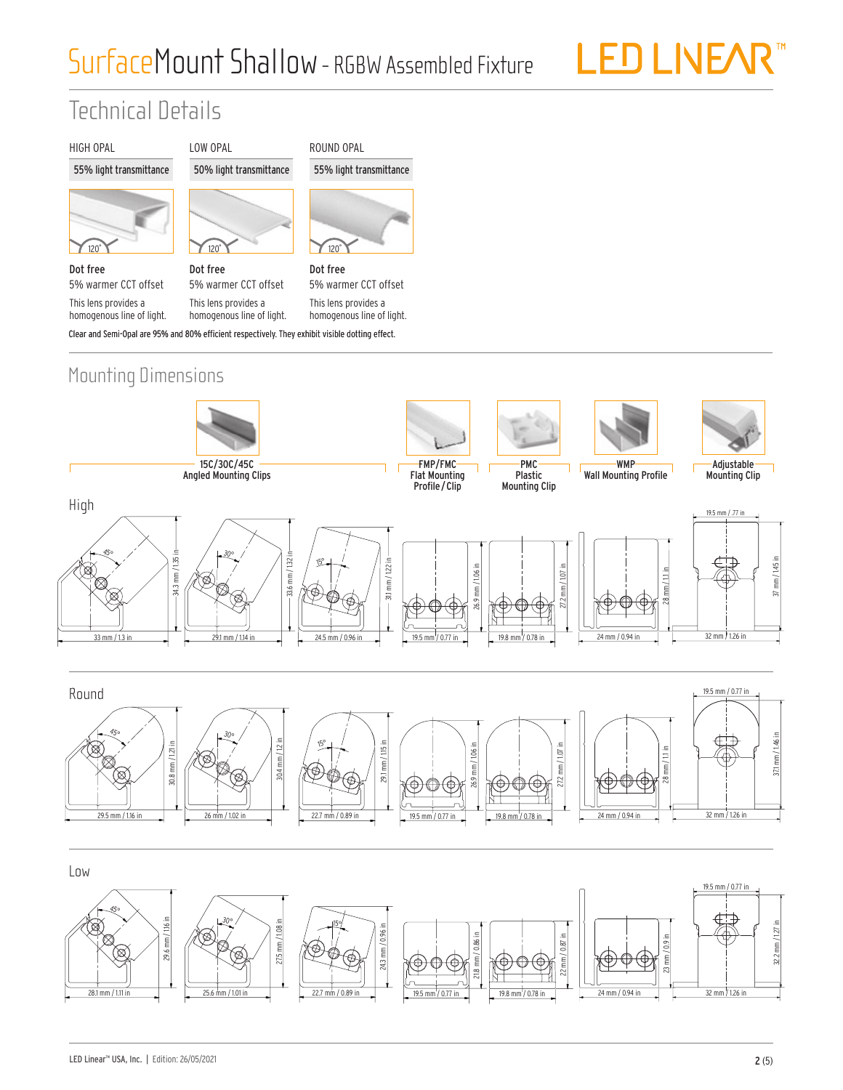# SurfaceMount Shallow- RGBW Assembled Fixture

LED LIVEAR<sup>™</sup>

## Technical Details

#### HIGH OPAL

#### 55% light transmittance



Dot free 5% warmer CCT offset This lens provides a homogenous line of light.



LOW OPAL

Dot free 5% warmer CCT offset This lens provides a homogenous line of light.

120˚ Dot free 5% warmer CCT offset

ROUND OPAL

55% light transmittance

Clear and Semi-Opal are 95% and 80% efficient respectively. They exhibit visible dotting effect. This lens provides a homogenous line of light.





19.5 mm / 0.77 in

19.8 mm / 0.78 in

25.6 mm / 1.01 in

22.7 mm / 0.89 in

28.1 mm / 1.11 in

 $^{22}$ 

32 mm 71.26

24 mm / 0.94 in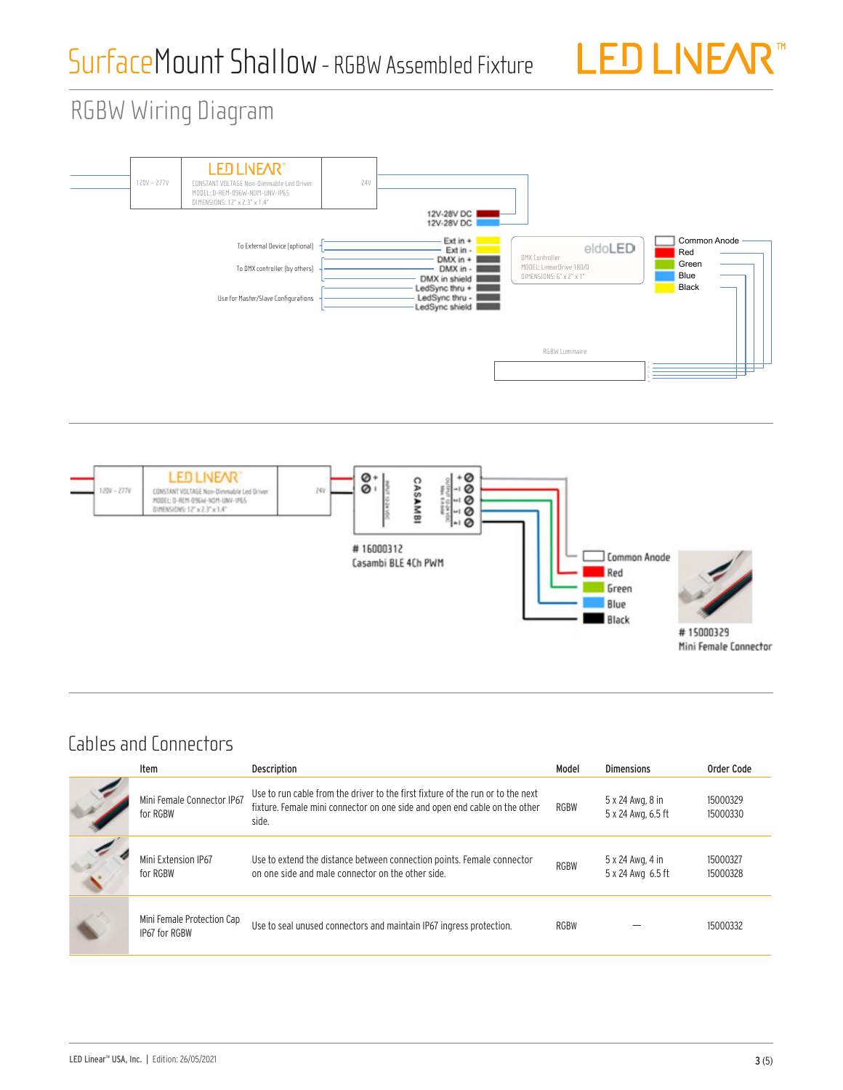

# RGBW Wiring Diagram RGBW WIRING





### Cables and Connectors

| Item                                        | <b>Description</b>                                                                                                                                                     | Model       | <b>Dimensions</b>                      | Order Code           |
|---------------------------------------------|------------------------------------------------------------------------------------------------------------------------------------------------------------------------|-------------|----------------------------------------|----------------------|
| Mini Female Connector IP67<br>for RGBW      | Use to run cable from the driver to the first fixture of the run or to the next<br>fixture. Female mini connector on one side and open end cable on the other<br>side. | <b>RGBW</b> | 5 x 24 Awg, 8 in<br>5 x 24 Awg, 6.5 ft | 15000329<br>15000330 |
| Mini Extension IP67<br>for RGBW             | Use to extend the distance between connection points. Female connector<br>on one side and male connector on the other side.                                            | <b>RGBW</b> | 5 x 24 Awg, 4 in<br>5 x 24 Awg 6.5 ft  | 15000327<br>15000328 |
| Mini Female Protection Cap<br>IP67 for RGBW | Use to seal unused connectors and maintain IP67 ingress protection.                                                                                                    | <b>RGBW</b> |                                        | 15000332             |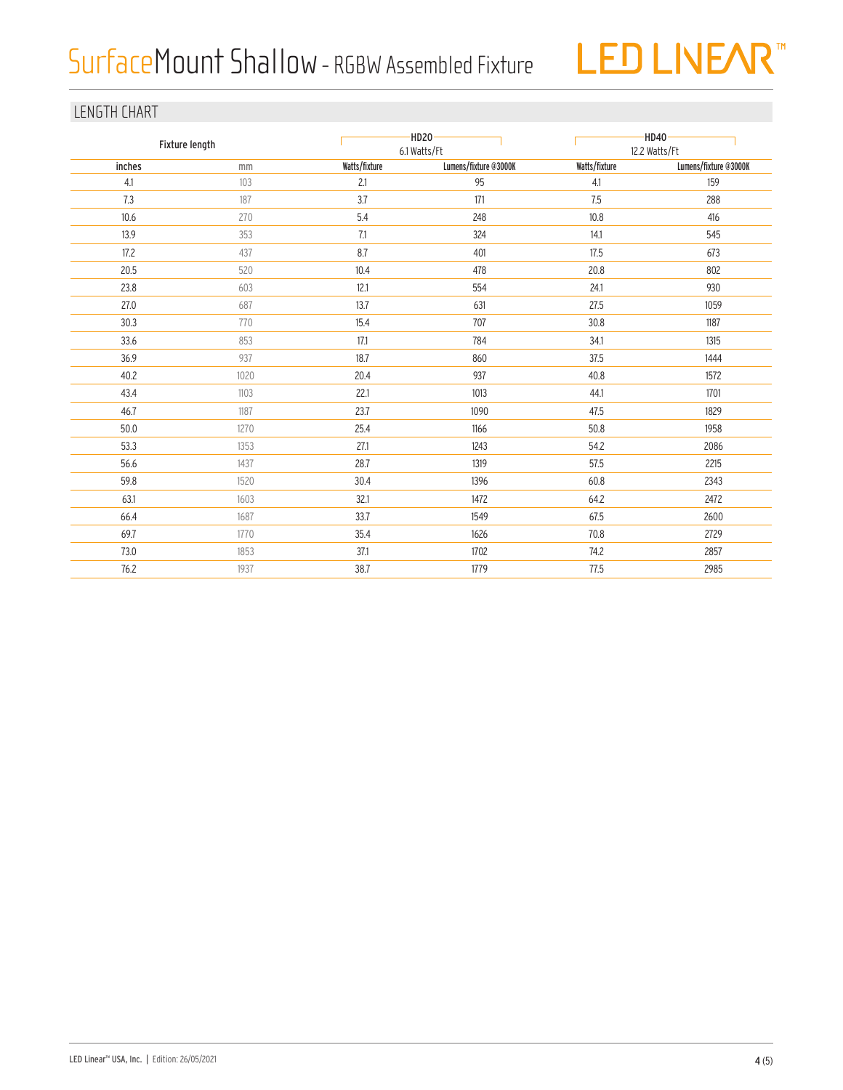# SurfaceMount Shallow- RGBW Assembled Fixture



#### LENGTH CHART

| Fixture length |      |               | $-HD20$<br>6.1 Watts/Ft |               | $-HD40$<br>12.2 Watts/Ft |  |  |
|----------------|------|---------------|-------------------------|---------------|--------------------------|--|--|
| inches         | mm   | Watts/fixture | Lumens/fixture @3000K   | Watts/fixture | Lumens/fixture @3000K    |  |  |
| 4.1            | 103  | 2.1           | 95                      | 4.1           | 159                      |  |  |
| 7.3            | 187  | 3.7           | 171                     | 7.5           | 288                      |  |  |
| 10.6           | 270  | 5.4           | 248                     | 10.8          | 416                      |  |  |
| 13.9           | 353  | 7.1           | 324                     | 14.1          | 545                      |  |  |
| 17.2           | 437  | 8.7           | 401                     | 17.5          | 673                      |  |  |
| 20.5           | 520  | 10.4          | 478                     | 20.8          | 802                      |  |  |
| 23.8           | 603  | 12.1          | 554                     | 24.1          | 930                      |  |  |
| 27.0           | 687  | 13.7          | 631                     | 27.5          | 1059                     |  |  |
| 30.3           | 770  | 15.4          | 707                     | 30.8          | 1187                     |  |  |
| 33.6           | 853  | 17.1          | 784                     | 34.1          | 1315                     |  |  |
| 36.9           | 937  | 18.7          | 860                     | 37.5          | 1444                     |  |  |
| 40.2           | 1020 | 20.4          | 937                     | 40.8          | 1572                     |  |  |
| 43.4           | 1103 | 22.1          | 1013                    | 44.1          | 1701                     |  |  |
| 46.7           | 1187 | 23.7          | 1090                    | 47.5          | 1829                     |  |  |
| 50.0           | 1270 | 25.4          | 1166                    | 50.8          | 1958                     |  |  |
| 53.3           | 1353 | 27.1          | 1243                    | 54.2          | 2086                     |  |  |
| 56.6           | 1437 | 28.7          | 1319                    | 57.5          | 2215                     |  |  |
| 59.8           | 1520 | 30.4          | 1396                    | 60.8          | 2343                     |  |  |
| 63.1           | 1603 | 32.1          | 1472                    | 64.2          | 2472                     |  |  |
| 66.4           | 1687 | 33.7          | 1549                    | 67.5          | 2600                     |  |  |
| 69.7           | 1770 | 35.4          | 1626                    | 70.8          | 2729                     |  |  |
| 73.0           | 1853 | 37.1          | 1702                    | 74.2          | 2857                     |  |  |
| 76.2           | 1937 | 38.7          | 1779                    | 77.5          | 2985                     |  |  |